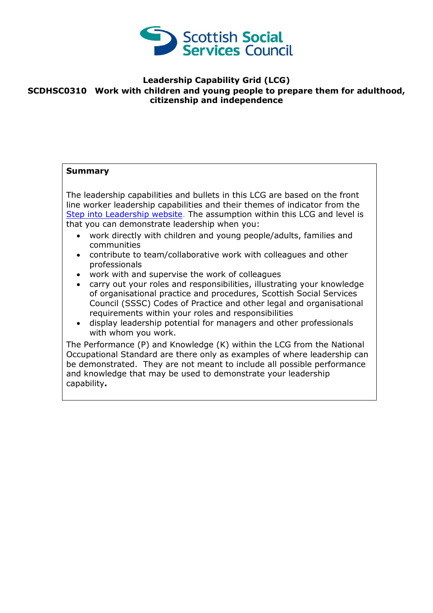

## **Leadership Capability Grid (LCG) SCDHSC0310 Work with children and young people to prepare them for adulthood, citizenship and independence**

## **Summary** The leadership capabilities and bullets in this LCG are based on the front line worker leadership capabilities and their themes of indicator from the [Step into Leadership website.](http://www.stepintoleadership.info/) The assumption within this LCG and level is that you can demonstrate leadership when you: work directly with children and young people/adults, families and communities contribute to team/collaborative work with colleagues and other professionals work with and supervise the work of colleagues carry out your roles and responsibilities, illustrating your knowledge of organisational practice and procedures, Scottish Social Services Council (SSSC) Codes of Practice and other legal and organisational requirements within your roles and responsibilities display leadership potential for managers and other professionals with whom you work. The Performance (P) and Knowledge (K) within the LCG from the National Occupational Standard are there only as examples of where leadership can be demonstrated. They are not meant to include all possible performance and knowledge that may be used to demonstrate your leadership

capability**.**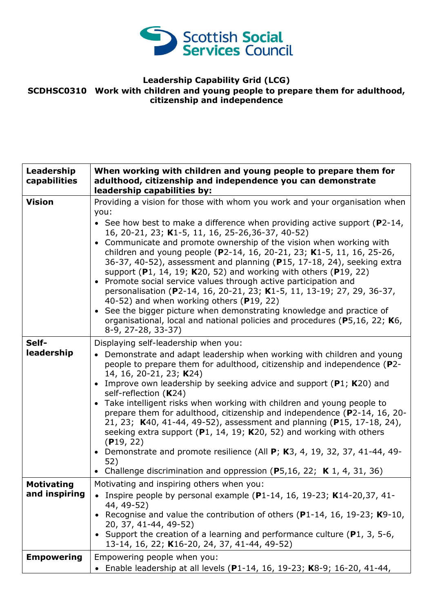

## **Leadership Capability Grid (LCG) SCDHSC0310 Work with children and young people to prepare them for adulthood, citizenship and independence**

| Leadership<br>capabilities         | When working with children and young people to prepare them for<br>adulthood, citizenship and independence you can demonstrate<br>leadership capabilities by:                                                                                                                                                                                                                                                                                                                                                                                                                                                                                                                                                                                                                                                                                                                                |
|------------------------------------|----------------------------------------------------------------------------------------------------------------------------------------------------------------------------------------------------------------------------------------------------------------------------------------------------------------------------------------------------------------------------------------------------------------------------------------------------------------------------------------------------------------------------------------------------------------------------------------------------------------------------------------------------------------------------------------------------------------------------------------------------------------------------------------------------------------------------------------------------------------------------------------------|
| <b>Vision</b>                      | Providing a vision for those with whom you work and your organisation when<br>you:<br>• See how best to make a difference when providing active support ( $P2-14$ ,<br>16, 20-21, 23; K1-5, 11, 16, 25-26, 36-37, 40-52)<br>• Communicate and promote ownership of the vision when working with<br>children and young people (P2-14, 16, 20-21, 23; K1-5, 11, 16, 25-26,<br>36-37, 40-52), assessment and planning (P15, 17-18, 24), seeking extra<br>support (P1, 14, 19; K20, 52) and working with others (P19, 22)<br>• Promote social service values through active participation and<br>personalisation (P2-14, 16, 20-21, 23; K1-5, 11, 13-19; 27, 29, 36-37,<br>40-52) and when working others (P19, 22)<br>• See the bigger picture when demonstrating knowledge and practice of<br>organisational, local and national policies and procedures (P5,16, 22; K6,<br>8-9, 27-28, 33-37) |
| Self-<br>leadership                | Displaying self-leadership when you:<br>• Demonstrate and adapt leadership when working with children and young<br>people to prepare them for adulthood, citizenship and independence (P2-<br>14, 16, 20-21, 23; K24)<br>• Improve own leadership by seeking advice and support ( $P1$ ; K20) and<br>self-reflection (K24)<br>• Take intelligent risks when working with children and young people to<br>prepare them for adulthood, citizenship and independence (P2-14, 16, 20-<br>21, 23; K40, 41-44, 49-52), assessment and planning (P15, 17-18, 24),<br>seeking extra support $(P1, 14, 19; K20, 52)$ and working with others<br>(P19, 22)<br>• Demonstrate and promote resilience (All $P$ ; K3, 4, 19, 32, 37, 41-44, 49-<br>52)<br>• Challenge discrimination and oppression (P5,16, 22; K 1, 4, 31, 36)                                                                            |
| <b>Motivating</b><br>and inspiring | Motivating and inspiring others when you:<br>• Inspire people by personal example (P1-14, 16, 19-23; K14-20, 37, 41-<br>44, 49-52)<br>• Recognise and value the contribution of others (P1-14, 16, 19-23; $K9-10$ ,<br>20, 37, 41-44, 49-52)<br>• Support the creation of a learning and performance culture (P1, 3, 5-6,<br>13-14, 16, 22; K16-20, 24, 37, 41-44, 49-52)                                                                                                                                                                                                                                                                                                                                                                                                                                                                                                                    |
| <b>Empowering</b>                  | Empowering people when you:<br>• Enable leadership at all levels (P1-14, 16, 19-23; K8-9; 16-20, 41-44,                                                                                                                                                                                                                                                                                                                                                                                                                                                                                                                                                                                                                                                                                                                                                                                      |